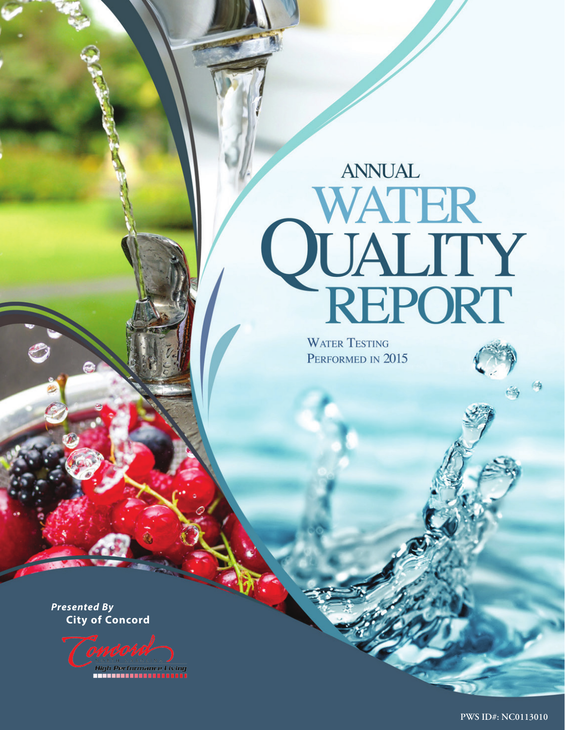# **ANNUAL QUALITY<br>QUALITY<br>REPORT**

**WATER TESTING** PERFORMED IN 2015

*Presented By*  **City of Concord**

High Performance Living<br>THEFTI LITTLE DECEDED

**PWS ID#: XX PWS ID#: NC0113010**

俩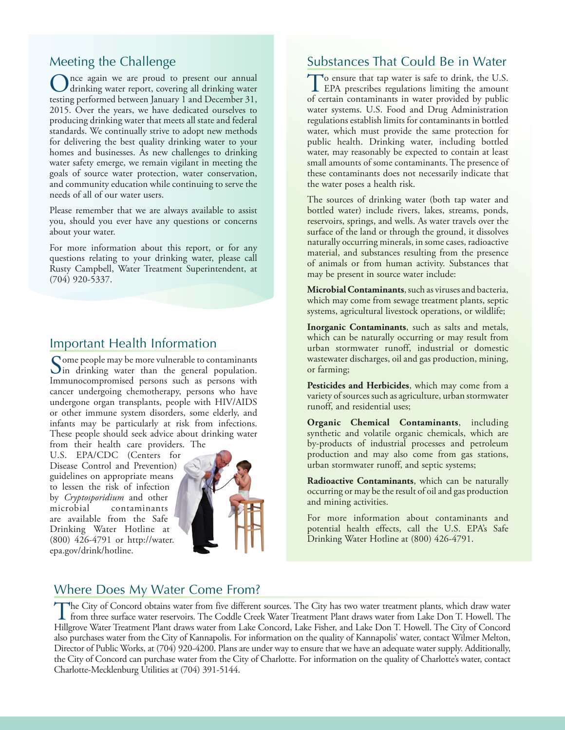#### Meeting the Challenge

Once again we are proud to present our annual<br>drinking water report, covering all drinking water testing performed between January 1 and December 31, 2015. Over the years, we have dedicated ourselves to producing drinking water that meets all state and federal standards. We continually strive to adopt new methods for delivering the best quality drinking water to your homes and businesses. As new challenges to drinking water safety emerge, we remain vigilant in meeting the goals of source water protection, water conservation, and community education while continuing to serve the needs of all of our water users.

Please remember that we are always available to assist you, should you ever have any questions or concerns about your water.

For more information about this report, or for any questions relating to your drinking water, please call Rusty Campbell, Water Treatment Superintendent, at (704) 920-5337.

#### Important Health Information

Some people may be more vulnerable to contaminants<br>in drinking water than the general population. Immunocompromised persons such as persons with cancer undergoing chemotherapy, persons who have undergone organ transplants, people with HIV/AIDS or other immune system disorders, some elderly, and infants may be particularly at risk from infections. These people should seek advice about drinking water from their health care providers. The

U.S. EPA/CDC (Centers for Disease Control and Prevention) guidelines on appropriate means to lessen the risk of infection by *Cryptosporidium* and other microbial contaminants are available from the Safe Drinking Water Hotline at (800) 426-4791 or http://water. epa.gov/drink/hotline.



#### Substances That Could Be in Water

To ensure that tap water is safe to drink, the U.S.<br>EPA prescribes regulations limiting the amount of certain contaminants in water provided by public water systems. U.S. Food and Drug Administration regulations establish limits for contaminants in bottled water, which must provide the same protection for public health. Drinking water, including bottled water, may reasonably be expected to contain at least small amounts of some contaminants. The presence of these contaminants does not necessarily indicate that the water poses a health risk.

The sources of drinking water (both tap water and bottled water) include rivers, lakes, streams, ponds, reservoirs, springs, and wells. As water travels over the surface of the land or through the ground, it dissolves naturally occurring minerals, in some cases, radioactive material, and substances resulting from the presence of animals or from human activity. Substances that may be present in source water include:

**Microbial Contaminants**, such as viruses and bacteria, which may come from sewage treatment plants, septic systems, agricultural livestock operations, or wildlife;

**Inorganic Contaminants**, such as salts and metals, which can be naturally occurring or may result from urban stormwater runoff, industrial or domestic wastewater discharges, oil and gas production, mining, or farming;

**Pesticides and Herbicides**, which may come from a variety of sources such as agriculture, urban stormwater runoff, and residential uses;

**Organic Chemical Contaminants**, including synthetic and volatile organic chemicals, which are by-products of industrial processes and petroleum production and may also come from gas stations, urban stormwater runoff, and septic systems;

**Radioactive Contaminants**, which can be naturally occurring or may be the result of oil and gas production and mining activities.

For more information about contaminants and potential health effects, call the U.S. EPA's Safe Drinking Water Hotline at (800) 426-4791.

# Where Does My Water Come From?

The City of Concord obtains water from five different sources. The City has two water treatment plants, which draw water<br>from three surface water reservoirs. The Coddle Creek Water Treatment Plant draws water from Lake Don Hillgrove Water Treatment Plant draws water from Lake Concord, Lake Fisher, and Lake Don T. Howell. The City of Concord also purchases water from the City of Kannapolis. For information on the quality of Kannapolis' water, contact Wilmer Melton, Director of Public Works, at (704) 920-4200. Plans are under way to ensure that we have an adequate water supply. Additionally, the City of Concord can purchase water from the City of Charlotte. For information on the quality of Charlotte's water, contact Charlotte-Mecklenburg Utilities at (704) 391-5144.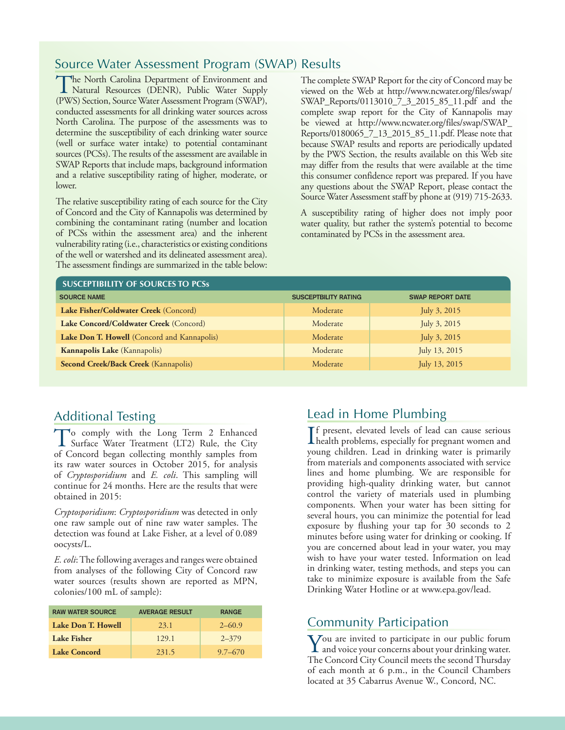# Source Water Assessment Program (SWAP) Results

The North Carolina Department of Environment and<br>
Natural Resources (DENR), Public Water Supply<br>
(NWC) Service Supply West Announce Departme(SWAD) (PWS) Section, Source Water Assessment Program (SWAP), conducted assessments for all drinking water sources across North Carolina. The purpose of the assessments was to determine the susceptibility of each drinking water source (well or surface water intake) to potential contaminant sources (PCSs). The results of the assessment are available in SWAP Reports that include maps, background information and a relative susceptibility rating of higher, moderate, or lower.

The relative susceptibility rating of each source for the City of Concord and the City of Kannapolis was determined by combining the contaminant rating (number and location of PCSs within the assessment area) and the inherent vulnerability rating (i.e., characteristics or existing conditions of the well or watershed and its delineated assessment area). The assessment findings are summarized in the table below: The complete SWAP Report for the city of Concord may be viewed on the Web at http://www.ncwater.org/files/swap/ SWAP\_Reports/0113010\_7\_3\_2015\_85\_11.pdf and the complete swap report for the City of Kannapolis may be viewed at http://www.ncwater.org/files/swap/SWAP\_ Reports/0180065\_7\_13\_2015\_85\_11.pdf. Please note that because SWAP results and reports are periodically updated by the PWS Section, the results available on this Web site may differ from the results that were available at the time this consumer confidence report was prepared. If you have any questions about the SWAP Report, please contact the Source Water Assessment staff by phone at (919) 715-2633.

A susceptibility rating of higher does not imply poor water quality, but rather the system's potential to become contaminated by PCSs in the assessment area.

| <b>SUSCEPTIBILITY OF SOURCES TO PCSS</b>    |                             |                         |
|---------------------------------------------|-----------------------------|-------------------------|
| <b>SOURCE NAME</b>                          | <b>SUSCEPTBILITY RATING</b> | <b>SWAP REPORT DATE</b> |
| Lake Fisher/Coldwater Creek (Concord)       | Moderate                    | July $3, 2015$          |
| Lake Concord/Coldwater Creek (Concord)      | Moderate                    | July 3, 2015            |
| Lake Don T. Howell (Concord and Kannapolis) | Moderate                    | July 3, 2015            |
| Kannapolis Lake (Kannapolis)                | Moderate                    | July 13, 2015           |
| Second Creek/Back Creek (Kannapolis)        | Moderate                    | July 13, 2015           |

# Additional Testing

To comply with the Long Term 2 Enhanced<br>Surface Water Treatment (LT2) Rule, the City<br>of Canacal began collecting magnetic camelo from of Concord began collecting monthly samples from its raw water sources in October 2015, for analysis of *Cryptosporidium* and *E. coli*. This sampling will continue for 24 months. Here are the results that were obtained in 2015:

*Cryptosporidium*: *Cryptosporidium* was detected in only one raw sample out of nine raw water samples. The detection was found at Lake Fisher, at a level of 0.089 oocysts/L.

*E. coli*: The following averages and ranges were obtained from analyses of the following City of Concord raw water sources (results shown are reported as MPN, colonies/100 mL of sample):

| <b>RAW WATER SOURCE</b> | <b>AVERAGE RESULT</b> | <b>RANGE</b> |
|-------------------------|-----------------------|--------------|
| Lake Don T. Howell      | 23.1                  | $2 - 60.9$   |
| Lake Fisher             | 129.1                 | $2 - 379$    |
| Lake Concord            | 231.5                 | $9.7 - 670$  |

# Lead in Home Plumbing

If present, elevated levels of lead can cause serious<br>health problems, especially for pregnant women and f present, elevated levels of lead can cause serious young children. Lead in drinking water is primarily from materials and components associated with service lines and home plumbing. We are responsible for providing high-quality drinking water, but cannot control the variety of materials used in plumbing components. When your water has been sitting for several hours, you can minimize the potential for lead exposure by flushing your tap for 30 seconds to 2 minutes before using water for drinking or cooking. If you are concerned about lead in your water, you may wish to have your water tested. Information on lead in drinking water, testing methods, and steps you can take to minimize exposure is available from the Safe Drinking Water Hotline or at www.epa.gov/lead.

# Community Participation

You are invited to participate in our public forum and voice your concerns about your drinking water. The Concord City Council meets the second Thursday of each month at 6 p.m., in the Council Chambers located at 35 Cabarrus Avenue W., Concord, NC.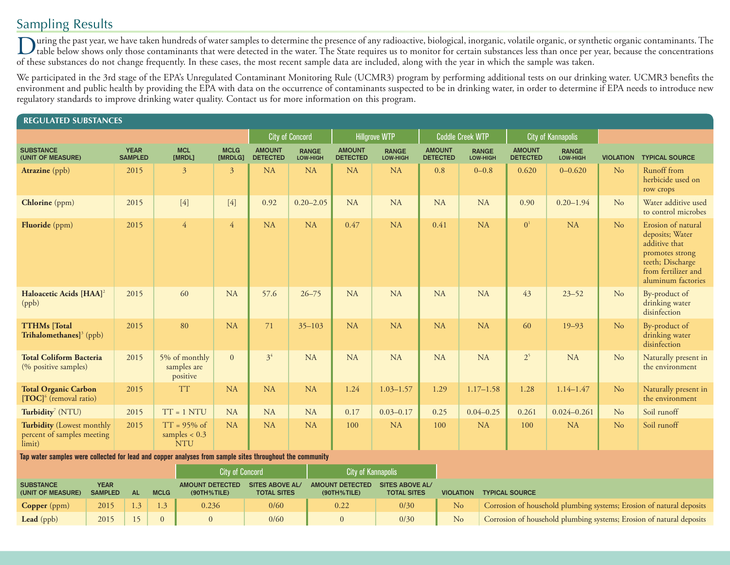# Sampling Results

Turing the past year, we have taken hundreds of water samples to determine the presence of any radioactive, biological, inorganic, volatile organic, or synthetic organic contaminants. The table below shows only those contaminants that were detected in the water. The State requires us to monitor for certain substances less than once per year, because the concentrations of these substances do not change frequently. In these cases, the most recent sample data are included, along with the year in which the sample was taken.

We participated in the 3rd stage of the EPA's Unregulated Contaminant Monitoring Rule (UCMR3) program by performing additional tests on our drinking water. UCMR3 benefits the environment and public health by providing the EPA with data on the occurrence of contaminants suspected to be in drinking water, in order to determine if EPA needs to introduce new regulatory standards to improve drinking water quality. Contact us for more information on this program.

| <b>REGULATED SUBSTANCES</b>                                                                              |                               |                               |             |                                                 |                        |                                                              |                        |                                       |                                              |                                  |                                                                                        |                          |                                  |                           |                  |                                                                                                                                            |  |
|----------------------------------------------------------------------------------------------------------|-------------------------------|-------------------------------|-------------|-------------------------------------------------|------------------------|--------------------------------------------------------------|------------------------|---------------------------------------|----------------------------------------------|----------------------------------|----------------------------------------------------------------------------------------|--------------------------|----------------------------------|---------------------------|------------------|--------------------------------------------------------------------------------------------------------------------------------------------|--|
|                                                                                                          |                               |                               |             |                                                 |                        |                                                              | <b>City of Concord</b> |                                       | <b>Hillgrove WTP</b>                         |                                  | <b>Coddle Creek WTP</b>                                                                |                          |                                  | <b>City of Kannapolis</b> |                  |                                                                                                                                            |  |
| <b>SUBSTANCE</b><br>(UNIT OF MEASURE)                                                                    |                               | <b>YEAR</b><br><b>SAMPLED</b> |             | <b>MCL</b><br>[MRDL]                            | <b>MCLG</b><br>[MRDLG] | <b>AMOUNT</b><br><b>RANGE</b><br><b>DETECTED</b><br>LOW-HIGH |                        | <b>AMOUNT</b><br><b>DETECTED</b>      | <b>RANGE</b><br>LOW-HIGH                     | <b>AMOUNT</b><br><b>DETECTED</b> |                                                                                        | <b>RANGE</b><br>LOW-HIGH | <b>AMOUNT</b><br><b>DETECTED</b> | <b>RANGE</b><br>LOW-HIGH  | <b>VIOLATION</b> | <b>TYPICAL SOURCE</b>                                                                                                                      |  |
| <b>Atrazine</b> (ppb)                                                                                    |                               | 2015                          |             | $\mathfrak{Z}$                                  | $\overline{3}$         | <b>NA</b>                                                    | <b>NA</b>              | <b>NA</b>                             | <b>NA</b>                                    | 0.8                              |                                                                                        | $0 - 0.8$                | 0.620                            | $0 - 0.620$               | N <sub>o</sub>   | Runoff from<br>herbicide used on<br>row crops                                                                                              |  |
| Chlorine (ppm)                                                                                           |                               | 2015                          |             | $[4]$                                           | $[4]$                  | 0.92                                                         | $0.20 - 2.05$          | <b>NA</b>                             | <b>NA</b>                                    | <b>NA</b>                        |                                                                                        | <b>NA</b>                | 0.90                             | $0.20 - 1.94$             | N <sub>o</sub>   | Water additive used<br>to control microbes                                                                                                 |  |
| <b>Fluoride</b> (ppm)                                                                                    |                               | 2015                          |             | $\overline{4}$                                  | $\overline{4}$         | <b>NA</b>                                                    | <b>NA</b>              |                                       | <b>NA</b>                                    | 0.41                             |                                                                                        | NA                       | 0 <sup>1</sup>                   | <b>NA</b>                 | N <sub>o</sub>   | Erosion of natural<br>deposits; Water<br>additive that<br>promotes strong<br>teeth; Discharge<br>from fertilizer and<br>aluminum factories |  |
| Haloacetic Acids [HAA] <sup>2</sup><br>(ppb)                                                             |                               | 2015                          |             | 60                                              | <b>NA</b>              | 57.6                                                         | $26 - 75$              | <b>NA</b>                             | <b>NA</b>                                    | <b>NA</b>                        |                                                                                        | <b>NA</b>                | 43                               | $23 - 52$                 | N <sub>o</sub>   | By-product of<br>drinking water<br>disinfection                                                                                            |  |
| <b>TTHMs</b> [Total<br>Trihalomethanes] $3$ (ppb)                                                        |                               | 2015                          |             | 80                                              | <b>NA</b>              | 71                                                           | $35 - 103$             | <b>NA</b>                             | <b>NA</b>                                    | <b>NA</b>                        |                                                                                        | NA                       | 60<br>$19 - 93$                  |                           | N <sub>o</sub>   | By-product of<br>drinking water<br>disinfection                                                                                            |  |
| <b>Total Coliform Bacteria</b><br>(% positive samples)                                                   |                               | 2015                          |             | 5% of monthly<br>samples are<br>positive        | $\overline{0}$         | 3 <sup>4</sup>                                               | <b>NA</b>              | <b>NA</b>                             | <b>NA</b>                                    | <b>NA</b>                        |                                                                                        | NA                       | 2 <sup>5</sup>                   | <b>NA</b>                 | No               | Naturally present in<br>the environment                                                                                                    |  |
| <b>Total Organic Carbon</b><br>$[TOC]^\circ$ (removal ratio)                                             |                               | 2015                          |             | <b>TT</b>                                       | <b>NA</b>              | NA                                                           | <b>NA</b>              | 1.24                                  | $1.03 - 1.57$                                | 1.29                             |                                                                                        | $1.17 - 1.58$            | 1.28                             | $1.14 - 1.47$             | No               | Naturally present in<br>the environment                                                                                                    |  |
| Turbidity <sup>7</sup> (NTU)                                                                             |                               | 2015                          |             | $TT = 1 NTU$                                    | <b>NA</b>              | <b>NA</b>                                                    | <b>NA</b>              | 0.17                                  | $0.03 - 0.17$                                | 0.25                             |                                                                                        | $0.04 - 0.25$            | 0.261                            | $0.024 - 0.261$           | N <sub>o</sub>   | Soil runoff                                                                                                                                |  |
| Turbidity (Lowest monthly<br>percent of samples meeting<br>limit)                                        |                               | 2015                          |             | $TT = 95\%$ of<br>samples $< 0.3$<br><b>NTU</b> | <b>NA</b>              | <b>NA</b>                                                    | <b>NA</b>              | 100                                   | <b>NA</b>                                    | 100                              |                                                                                        | <b>NA</b>                | 100                              | <b>NA</b>                 | No               | Soil runoff                                                                                                                                |  |
| Tap water samples were collected for lead and copper analyses from sample sites throughout the community |                               |                               |             |                                                 |                        |                                                              |                        |                                       |                                              |                                  |                                                                                        |                          |                                  |                           |                  |                                                                                                                                            |  |
| <b>City of Concord</b>                                                                                   |                               |                               |             |                                                 |                        |                                                              |                        |                                       | <b>City of Kannapolis</b>                    |                                  |                                                                                        |                          |                                  |                           |                  |                                                                                                                                            |  |
| <b>SUBSTANCE</b><br>(UNIT OF MEASURE)                                                                    | <b>YEAR</b><br><b>SAMPLED</b> | <b>AL</b>                     | <b>MCLG</b> | <b>AMOUNT DETECTED</b><br>(90TH%TILE)           |                        | <b>SITES ABOVE AL/</b><br><b>TOTAL SITES</b>                 |                        | <b>AMOUNT DETECTED</b><br>(90TH%TILE) | <b>SITES ABOVE AL/</b><br><b>TOTAL SITES</b> |                                  | <b>VIOLATION TYPICAL SOURCE</b>                                                        |                          |                                  |                           |                  |                                                                                                                                            |  |
| <b>Copper</b> (ppm)                                                                                      | 2015                          | 1.3                           | 1.3         | 0.236                                           |                        | 0/60                                                         |                        | 0.22                                  | 0/30                                         |                                  | N <sub>o</sub><br>Corrosion of household plumbing systems; Erosion of natural deposits |                          |                                  |                           |                  |                                                                                                                                            |  |

**Lead** (ppb) 2015 15 0 0 0 0/60 0 0/50 0 0/30 No Corrosion of household plumbing systems; Erosion of natural deposits